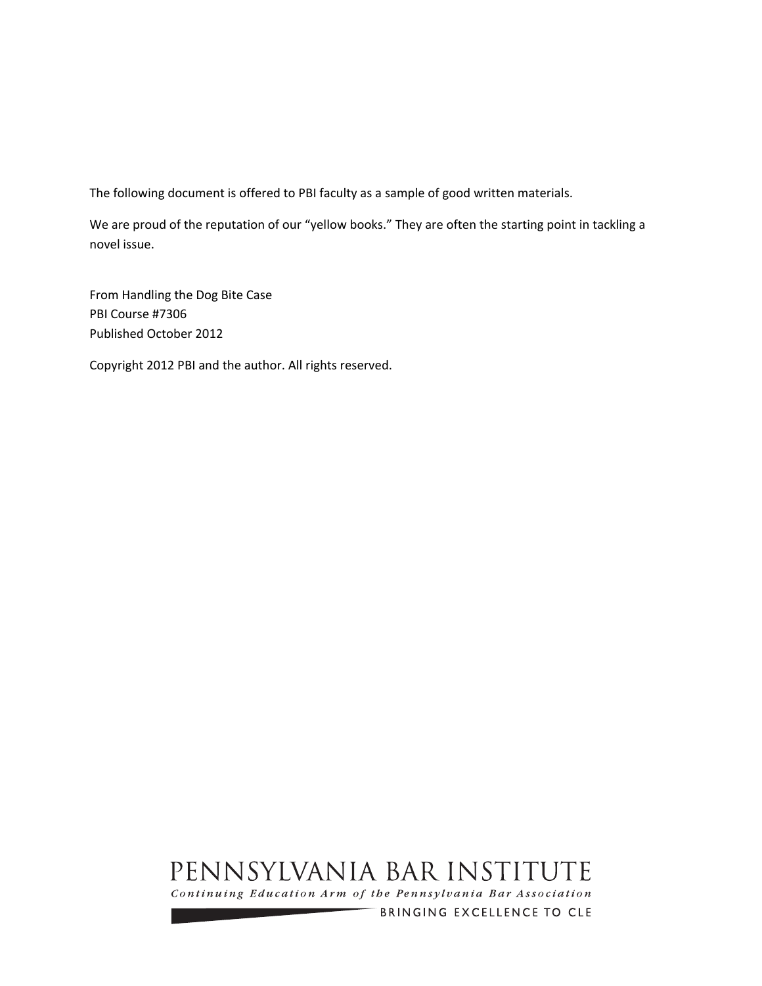The following document is offered to PBI faculty as a sample of good written materials.

We are proud of the reputation of our "yellow books." They are often the starting point in tackling a novel issue.

From Handling the Dog Bite Case PBI Course #7306 Published October 2012

Copyright 2012 PBI and the author. All rights reserved.

# PENNSYLVANIA BAR INSTITUTE

Continuing Education Arm of the Pennsylvania Bar Association

BRINGING EXCELLENCE TO CLE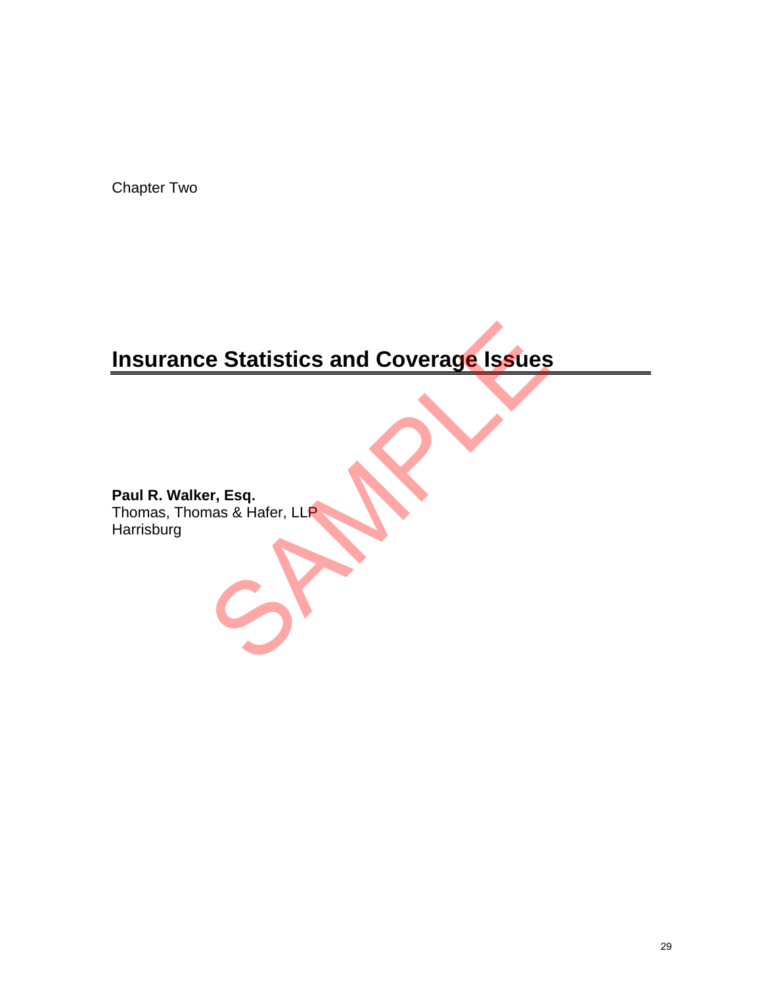Chapter Two

# **Insurance Statistics and Coverage Issues**  e Statistics and Coverage Issues<br>Br. Esq.<br>Ras & Hafer, LLP<br>Carrier of Maria Coverage Issues

**Paul R. Walker, Esq.** Thomas, Thomas & Hafer, LL<mark>P</mark> **Harrisburg**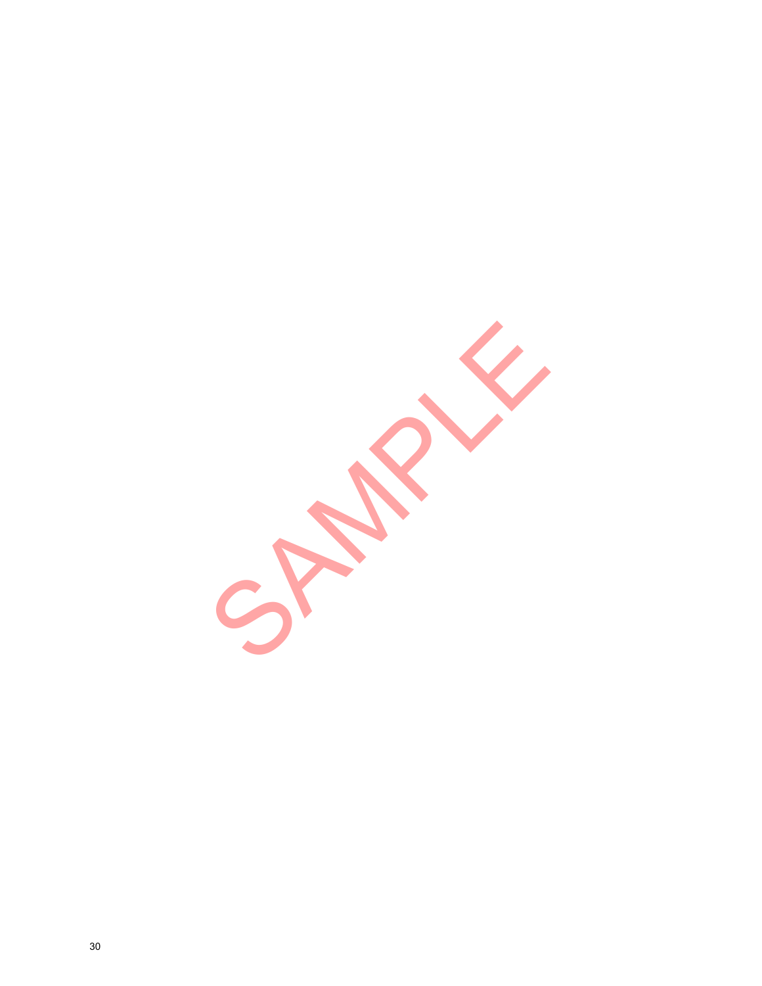3 SPM RIVE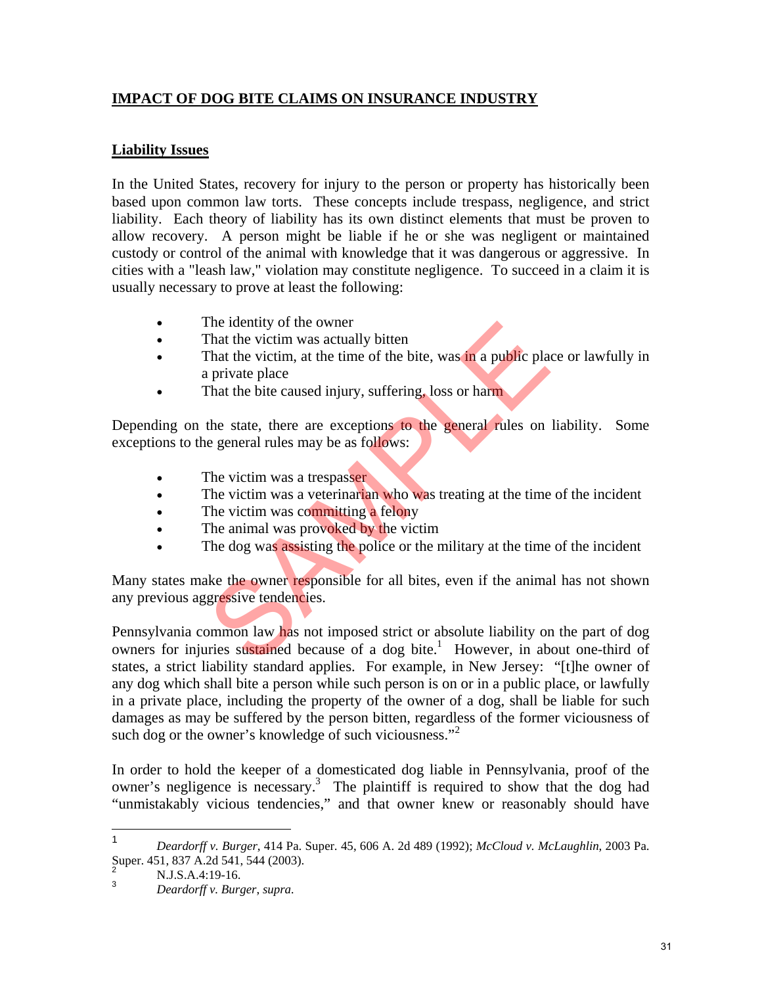# **IMPACT OF DOG BITE CLAIMS ON INSURANCE INDUSTRY**

## **Liability Issues**

In the United States, recovery for injury to the person or property has historically been based upon common law torts. These concepts include trespass, negligence, and strict liability. Each theory of liability has its own distinct elements that must be proven to allow recovery. A person might be liable if he or she was negligent or maintained custody or control of the animal with knowledge that it was dangerous or aggressive. In cities with a "leash law," violation may constitute negligence. To succeed in a claim it is usually necessary to prove at least the following:

- The identity of the owner
- That the victim was actually bitten
- That the victim, at the time of the bite, was in a public place or lawfully in a private place
- That the bite caused injury, suffering, loss or harm

Depending on the state, there are exceptions to the general rules on liability. Some exceptions to the general rules may be as follows:

- The victim was a trespasser
- The victim was a veterinarian who was treating at the time of the incident
- The victim was committing a felony
- The animal was provoked by the victim
- The dog was assisting the police or the military at the time of the incident

Many states make the owner responsible for all bites, even if the animal has not shown any previous aggressive tendencies.

Pennsylvania common law has not imposed strict or absolute liability on the part of dog owners for injuries sustained because of a dog bite.<sup>1</sup> However, in about one-third of states, a strict liability standard applies. For example, in New Jersey: "[t]he owner of any dog which shall bite a person while such person is on or in a public place, or lawfully in a private place, including the property of the owner of a dog, shall be liable for such damages as may be suffered by the person bitten, regardless of the former viciousness of such dog or the owner's knowledge of such viciousness."<sup>2</sup> the udentuy of the cowner<br>
That the victim, as a cutally bitten<br>
That the victim, at the time of the bite, was in a public place or lawfully in<br>
That the victim, at the time of the bite, was in a public place or lawfully

In order to hold the keeper of a domesticated dog liable in Pennsylvania, proof of the owner's negligence is necessary.<sup>3</sup> The plaintiff is required to show that the dog had "unmistakably vicious tendencies," and that owner knew or reasonably should have

 $\frac{1}{1}$  *Deardorff v. Burger*, 414 Pa. Super. 45, 606 A. 2d 489 (1992); *McCloud v. McLaughlin*, 2003 Pa. Super. 451, 837 A.2d 541, 544 (2003).

<sup>2</sup> N.J.S.A.4:19-16. 3

*Deardorff v. Burger*, *supra.*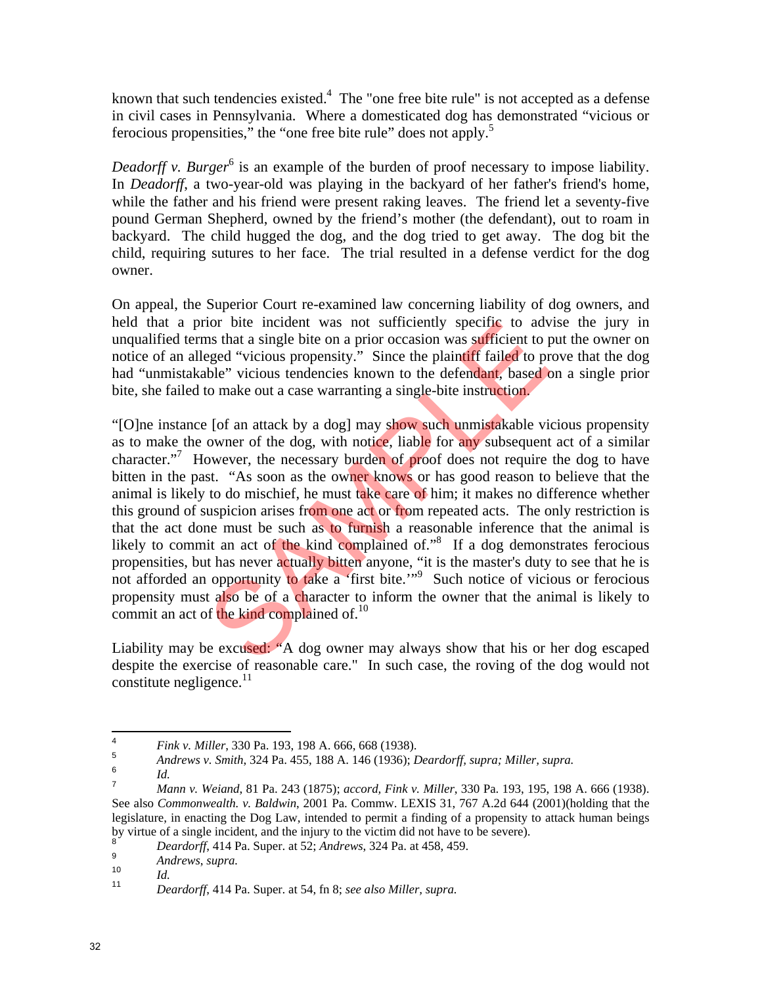known that such tendencies existed. $4$  The "one free bite rule" is not accepted as a defense in civil cases in Pennsylvania. Where a domesticated dog has demonstrated "vicious or ferocious propensities," the "one free bite rule" does not apply.<sup>5</sup>

*Deadorff v. Burger*<sup>6</sup> is an example of the burden of proof necessary to impose liability. In *Deadorff*, a two-year-old was playing in the backyard of her father's friend's home, while the father and his friend were present raking leaves. The friend let a seventy-five pound German Shepherd, owned by the friend's mother (the defendant), out to roam in backyard. The child hugged the dog, and the dog tried to get away. The dog bit the child, requiring sutures to her face. The trial resulted in a defense verdict for the dog owner.

On appeal, the Superior Court re-examined law concerning liability of dog owners, and held that a prior bite incident was not sufficiently specific to advise the jury in unqualified terms that a single bite on a prior occasion was sufficient to put the owner on notice of an alleged "vicious propensity." Since the plaintiff failed to prove that the dog had "unmistakable" vicious tendencies known to the defendant, based on a single prior bite, she failed to make out a case warranting a single-bite instruction.

"[O]ne instance [of an attack by a dog] may show such unmistakable vicious propensity as to make the owner of the dog, with notice, liable for any subsequent act of a similar character."<sup>7</sup> However, the necessary burden of proof does not require the dog to have bitten in the past. "As soon as the owner knows or has good reason to believe that the animal is likely to do mischief, he must take care of him; it makes no difference whether this ground of suspicion arises from one act or from repeated acts. The only restriction is that the act done must be such as to furnish a reasonable inference that the animal is likely to commit an act of the kind complained of."<sup>8</sup> If a dog demonstrates ferocious propensities, but has never actually bitten anyone, "it is the master's duty to see that he is not afforded an opportunity to take a 'first bite.'"<sup>9</sup> Such notice of vicious or ferocious propensity must also be of a character to inform the owner that the animal is likely to commit an act of the kind complained of.<sup>10</sup> neal una a proro bue incostent was not sufficiently specture to early one<br>unqualified terms that a single bite on a prior occasion was sufficient to proton the motion of a alleged "victious propensity." Since the plaintif

Liability may be excused: "A dog owner may always show that his or her dog escaped despite the exercise of reasonable care." In such case, the roving of the dog would not constitute negligence. $^{11}$ 

 $\frac{1}{4}$ *Fink v. Miller*, 330 Pa. 193, 198 A. 666, 668 (1938).

<sup>5</sup> *Andrews v. Smith*, 324 Pa. 455, 188 A. 146 (1936); *Deardorff, supra; Miller, supra.* <sup>6</sup>

 $\frac{1}{7}$  *Id.* 

*Mann v. Weiand*, 81 Pa. 243 (1875); *accord, Fink v. Miller*, 330 Pa. 193, 195, 198 A. 666 (1938). See also *Commonwealth. v. Baldwin*, 2001 Pa. Commw. LEXIS 31, 767 A.2d 644 (2001)(holding that the legislature, in enacting the Dog Law, intended to permit a finding of a propensity to attack human beings by virtue of a single incident, and the injury to the victim did not have to be severe).

<sup>8</sup> *Deardorff*, 414 Pa. Super. at 52; *Andrews*, 324 Pa. at 458, 459. 9

<sup>&</sup>lt;sup>9</sup> *Andrews*, *supra*.<br><sup>10</sup> *Id.*<br><sup>11</sup> *Despite 414 L* 

<sup>11</sup> *Deardorff*, 414 Pa. Super. at 54, fn 8; *see also Miller, supra.*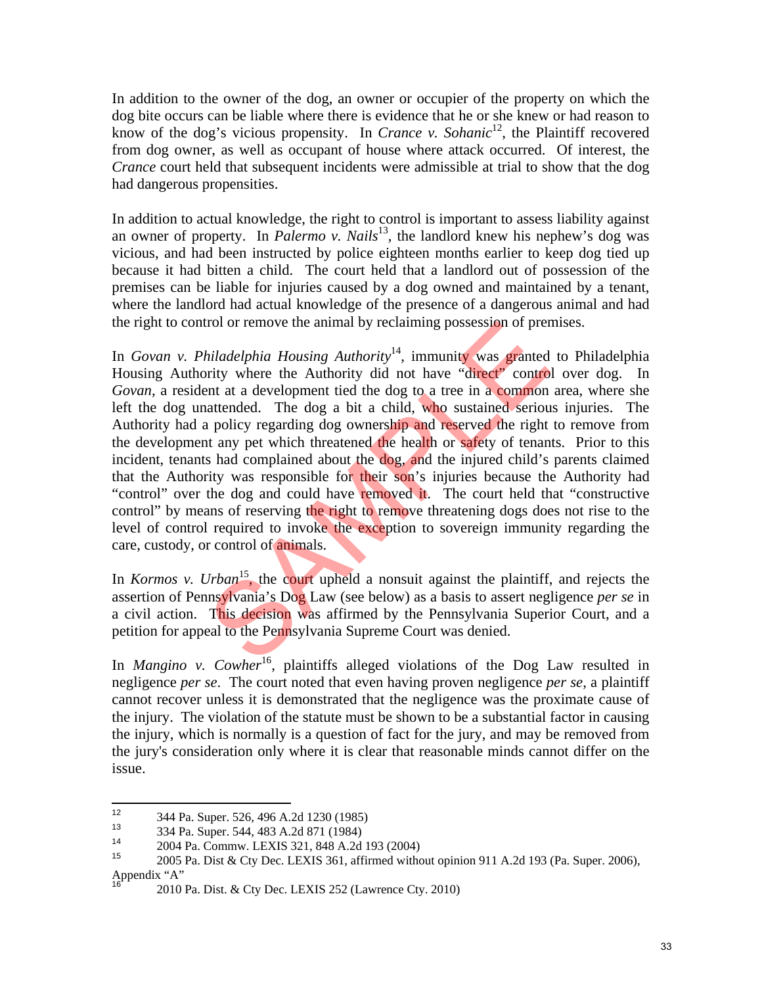In addition to the owner of the dog, an owner or occupier of the property on which the dog bite occurs can be liable where there is evidence that he or she knew or had reason to know of the dog's vicious propensity. In *Crance v. Sohanic*<sup>12</sup>, the Plaintiff recovered from dog owner, as well as occupant of house where attack occurred. Of interest, the *Crance* court held that subsequent incidents were admissible at trial to show that the dog had dangerous propensities.

In addition to actual knowledge, the right to control is important to assess liability against an owner of property. In *Palermo v. Nails*<sup>13</sup>, the landlord knew his nephew's dog was vicious, and had been instructed by police eighteen months earlier to keep dog tied up because it had bitten a child. The court held that a landlord out of possession of the premises can be liable for injuries caused by a dog owned and maintained by a tenant, where the landlord had actual knowledge of the presence of a dangerous animal and had the right to control or remove the animal by reclaiming possession of premises.

In *Govan v. Philadelphia Housing Authority*14, immunity was granted to Philadelphia Housing Authority where the Authority did not have "direct" control over dog. In *Govan*, a resident at a development tied the dog to a tree in a common area, where she left the dog unattended. The dog a bit a child, who sustained serious injuries. The Authority had a policy regarding dog ownership and reserved the right to remove from the development any pet which threatened the health or safety of tenants. Prior to this incident, tenants had complained about the dog, and the injured child's parents claimed that the Authority was responsible for their son's injuries because the Authority had "control" over the dog and could have removed it. The court held that "constructive control" by means of reserving the right to remove threatening dogs does not rise to the level of control required to invoke the exception to sovereign immunity regarding the care, custody, or control of **animals**. rol or remove the animal by reclaiming possession of premises.<br>
bilidelphia labusing Authority<sup>14</sup>, immunity was **grained** to Philadelphia<br>
bilidelphia Housing Authority<sup>14</sup>, immunity was **grained** to Philadelphia<br>
antity

In *Kormos v. Urban*<sup>15</sup>, the court upheld a nonsuit against the plaintiff, and rejects the assertion of Pennsylvania's Dog Law (see below) as a basis to assert negligence *per se* in a civil action. This decision was affirmed by the Pennsylvania Superior Court, and a petition for appeal to the Pennsylvania Supreme Court was denied.

In *Mangino v. Cowher*<sup>16</sup>, plaintiffs alleged violations of the Dog Law resulted in negligence *per se*. The court noted that even having proven negligence *per se*, a plaintiff cannot recover unless it is demonstrated that the negligence was the proximate cause of the injury. The violation of the statute must be shown to be a substantial factor in causing the injury, which is normally is a question of fact for the jury, and may be removed from the jury's consideration only where it is clear that reasonable minds cannot differ on the issue.

 $12<sup>12</sup>$ 

<sup>&</sup>lt;sup>12</sup><br>
<sup>13</sup> 344 Pa. Super. 526, 496 A.2d 1230 (1985)<br>
<sup>13</sup> 334 Pa. Super. 544, 483 A.2d 871 (1984)<br>
2004 Pa. Commw. LEXIS 321, 848 A.2d 193 (2004)<br>
<sup>15</sup> 2005 Pa. Dist & Cty Dec. LEXIS 361, effirmed with

<sup>15</sup> 2005 Pa. Dist & Cty Dec. LEXIS 361, affirmed without opinion 911 A.2d 193 (Pa. Super. 2006), Appendix "A"

<sup>2010</sup> Pa. Dist. & Cty Dec. LEXIS 252 (Lawrence Cty. 2010)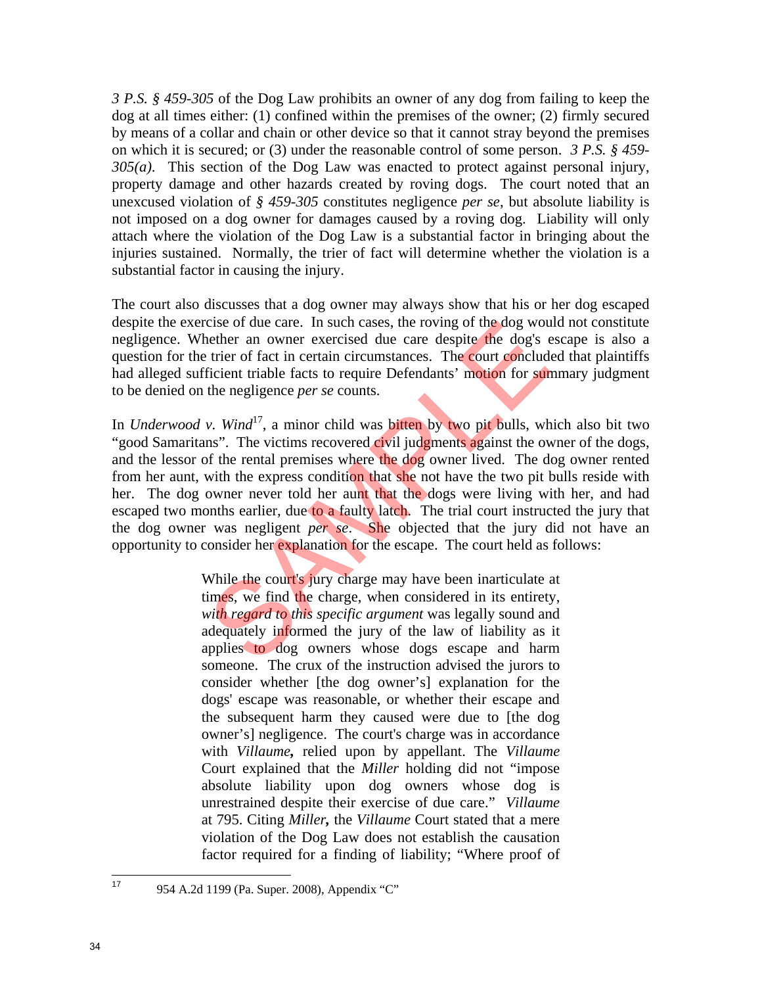*3 P.S. § 459-305* of the Dog Law prohibits an owner of any dog from failing to keep the dog at all times either: (1) confined within the premises of the owner; (2) firmly secured by means of a collar and chain or other device so that it cannot stray beyond the premises on which it is secured; or (3) under the reasonable control of some person. *3 P.S. § 459- 305(a)*. This section of the Dog Law was enacted to protect against personal injury, property damage and other hazards created by roving dogs. The court noted that an unexcused violation of *§ 459-305* constitutes negligence *per se*, but absolute liability is not imposed on a dog owner for damages caused by a roving dog. Liability will only attach where the violation of the Dog Law is a substantial factor in bringing about the injuries sustained. Normally, the trier of fact will determine whether the violation is a substantial factor in causing the injury.

The court also discusses that a dog owner may always show that his or her dog escaped despite the exercise of due care. In such cases, the roving of the dog would not constitute negligence. Whether an owner exercised due care despite the dog's escape is also a question for the trier of fact in certain circumstances. The court concluded that plaintiffs had alleged sufficient triable facts to require Defendants' motion for summary judgment to be denied on the negligence *per se* counts.

In *Underwood v. Wind*<sup>17</sup>, a minor child was bitten by two pit bulls, which also bit two "good Samaritans". The victims recovered civil judgments against the owner of the dogs, and the lessor of the rental premises where the dog owner lived. The dog owner rented from her aunt, with the express condition that she not have the two pit bulls reside with her. The dog owner never told her aunt that the dogs were living with her, and had escaped two months earlier, due to a faulty latch. The trial court instructed the jury that the dog owner was negligent *per se*. She objected that the jury did not have an opportunity to consider her explanation for the escape. The court held as follows:

While the court's jury charge may have been inarticulate at times, we find the charge, when considered in its entirety, *with regard to this specific argument* was legally sound and adequately informed the jury of the law of liability as it applies to dog owners whose dogs escape and harm someone. The crux of the instruction advised the jurors to consider whether [the dog owner's] explanation for the dogs' escape was reasonable, or whether their escape and the subsequent harm they caused were due to [the dog owner's] negligence. The court's charge was in accordance with *Villaume,* relied upon by appellant. The *Villaume* Court explained that the *Miller* holding did not "impose absolute liability upon dog owners whose dog is unrestrained despite their exercise of due care." *Villaume*  at 795. Citing *Miller,* the *Villaume* Court stated that a mere violation of the Dog Law does not establish the causation factor required for a finding of liability; "Where proof of despie lie exercise of due can: In such cases, the rowing of the day would be eighted to ever the trier of fact in certain circumstances. The court goodinal deleged surface and deleged surface to require Defendants' motio

 $17$ 954 A.2d 1199 (Pa. Super. 2008), Appendix "C"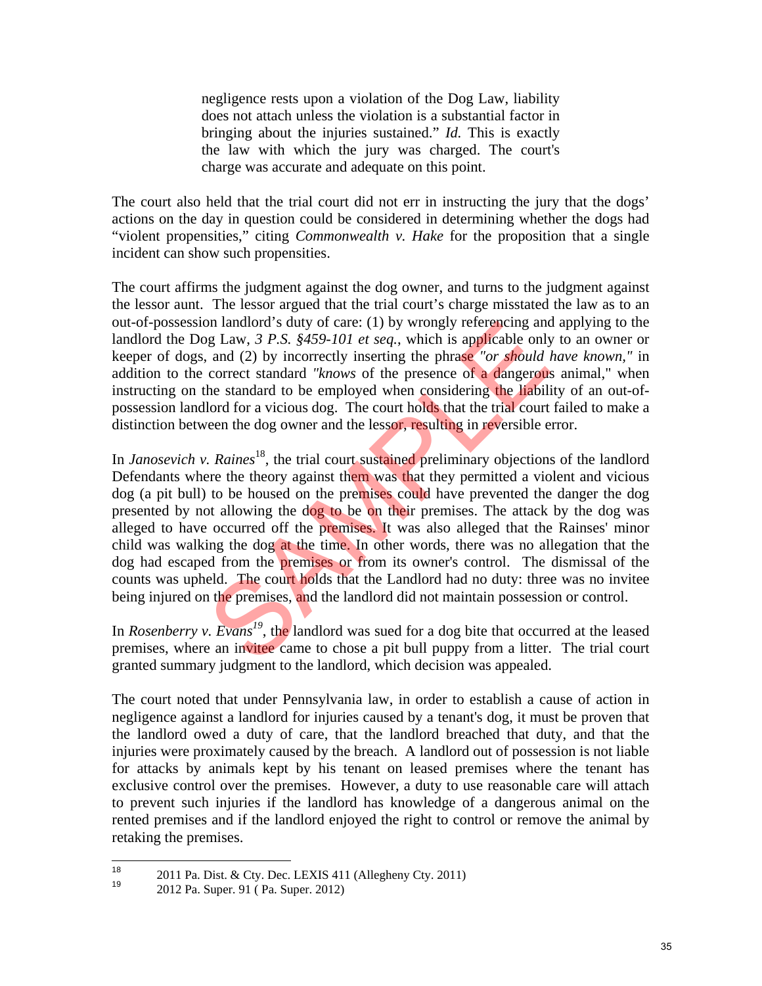negligence rests upon a violation of the Dog Law, liability does not attach unless the violation is a substantial factor in bringing about the injuries sustained." *Id.* This is exactly the law with which the jury was charged. The court's charge was accurate and adequate on this point.

The court also held that the trial court did not err in instructing the jury that the dogs' actions on the day in question could be considered in determining whether the dogs had "violent propensities," citing *Commonwealth v. Hake* for the proposition that a single incident can show such propensities.

The court affirms the judgment against the dog owner, and turns to the judgment against the lessor aunt. The lessor argued that the trial court's charge misstated the law as to an out-of-possession landlord's duty of care: (1) by wrongly referencing and applying to the landlord the Dog Law, *3 P.S. §459-101 et seq.*, which is applicable only to an owner or keeper of dogs, and (2) by incorrectly inserting the phrase *"or should have known,"* in addition to the correct standard *"knows* of the presence of a dangerous animal," when instructing on the standard to be employed when considering the liability of an out-ofpossession landlord for a vicious dog. The court holds that the trial court failed to make a distinction between the dog owner and the lessor, resulting in reversible error.

In *Janosevich v. Raines*<sup>18</sup>, the trial court sustained preliminary objections of the landlord Defendants where the theory against them was that they permitted a violent and vicious dog (a pit bull) to be housed on the premises could have prevented the danger the dog presented by not allowing the dog to be on their premises. The attack by the dog was alleged to have occurred off the premises. It was also alleged that the Rainses' minor child was walking the dog at the time. In other words, there was no allegation that the dog had escaped from the **premises** or from its owner's control. The dismissal of the counts was upheld. The court holds that the Landlord had no duty: three was no invitee being injured on the premises, and the landlord did not maintain possession or control. in aindiora saulty care: (1.) by wrongly reterogiong and applying to the<br>sing Ig Law, 3 P.S. §459-101 er seq., which is applicable only to an owner or<br>a and (2) by incorrectly inserting the phrase  $\sigma or$  gbould have known,

In *Rosenberry v. Evans*<sup>19</sup>, the landlord was sued for a dog bite that occurred at the leased premises, where an invitee came to chose a pit bull puppy from a litter. The trial court granted summary judgment to the landlord, which decision was appealed.

The court noted that under Pennsylvania law, in order to establish a cause of action in negligence against a landlord for injuries caused by a tenant's dog, it must be proven that the landlord owed a duty of care, that the landlord breached that duty, and that the injuries were proximately caused by the breach. A landlord out of possession is not liable for attacks by animals kept by his tenant on leased premises where the tenant has exclusive control over the premises. However, a duty to use reasonable care will attach to prevent such injuries if the landlord has knowledge of a dangerous animal on the rented premises and if the landlord enjoyed the right to control or remove the animal by retaking the premises.

<sup>18</sup> <sup>18</sup> 2011 Pa. Dist. & Cty. Dec. LEXIS 411 (Allegheny Cty. 2011) 2012 Pa. Super. 91 ( Pa. Super. 2012)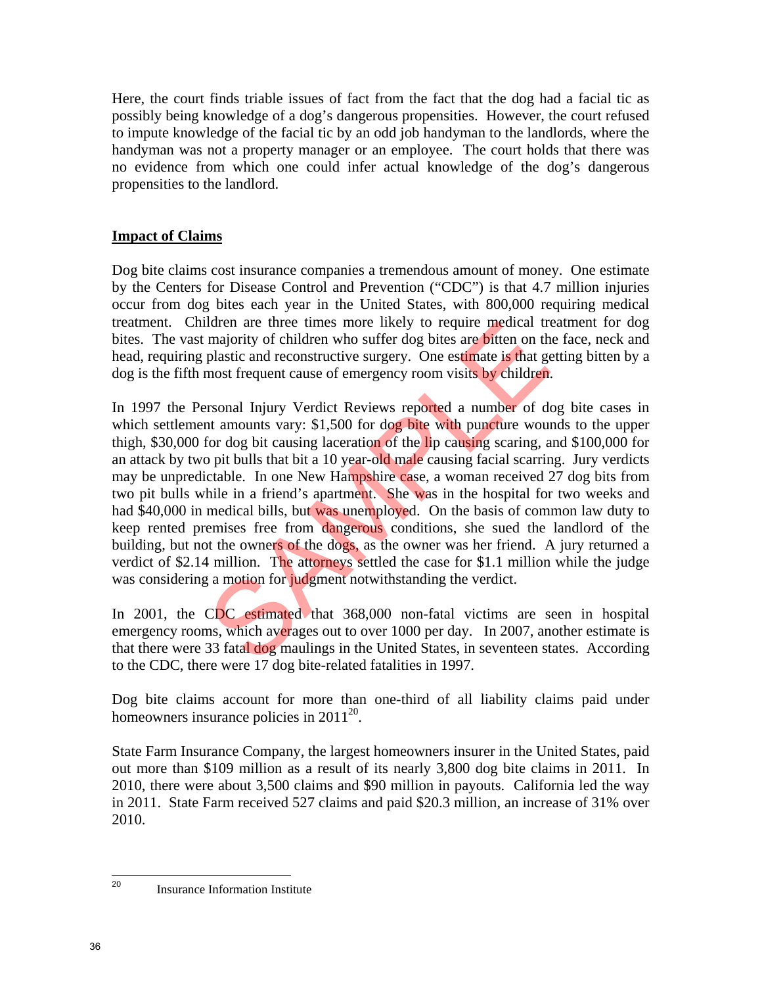Here, the court finds triable issues of fact from the fact that the dog had a facial tic as possibly being knowledge of a dog's dangerous propensities. However, the court refused to impute knowledge of the facial tic by an odd job handyman to the landlords, where the handyman was not a property manager or an employee. The court holds that there was no evidence from which one could infer actual knowledge of the dog's dangerous propensities to the landlord.

## **Impact of Claims**

Dog bite claims cost insurance companies a tremendous amount of money. One estimate by the Centers for Disease Control and Prevention ("CDC") is that 4.7 million injuries occur from dog bites each year in the United States, with 800,000 requiring medical treatment. Children are three times more likely to require medical treatment for dog bites. The vast majority of children who suffer dog bites are bitten on the face, neck and head, requiring plastic and reconstructive surgery. One estimate is that getting bitten by a dog is the fifth most frequent cause of emergency room visits by children.

In 1997 the Personal Injury Verdict Reviews reported a number of dog bite cases in which settlement amounts vary: \$1,500 for dog bite with puncture wounds to the upper thigh, \$30,000 for dog bit causing laceration of the lip causing scaring, and \$100,000 for an attack by two pit bulls that bit a 10 year-old male causing facial scarring. Jury verdicts may be unpredictable. In one New Hampshire case, a woman received 27 dog bits from two pit bulls while in a friend's apartment. She was in the hospital for two weeks and had \$40,000 in medical bills, but was unemployed. On the basis of common law duty to keep rented premises free from dangerous conditions, she sued the landlord of the building, but not the owners of the dogs, as the owner was her friend. A jury returned a verdict of \$2.14 million. The attorneys settled the case for \$1.1 million while the judge was considering a motion for judgment notwithstanding the verdict. treament. Chinten are three times more likely to require medical tries<br>thes. The vast majority of children who suffer dog bites are bitten on the<br>head, requiring plastic and reconstructive surgery. One estimate is that g<br>

In 2001, the CDC estimated that 368,000 non-fatal victims are seen in hospital emergency rooms, which averages out to over 1000 per day. In 2007, another estimate is that there were 33 fatal dog maulings in the United States, in seventeen states. According to the CDC, there were 17 dog bite-related fatalities in 1997.

Dog bite claims account for more than one-third of all liability claims paid under homeowners insurance policies in  $2011^{20}$ .

State Farm Insurance Company, the largest homeowners insurer in the United States, paid out more than \$109 million as a result of its nearly 3,800 dog bite claims in 2011. In 2010, there were about 3,500 claims and \$90 million in payouts. California led the way in 2011. State Farm received 527 claims and paid \$20.3 million, an increase of 31% over 2010.

<sup>20</sup> Insurance Information Institute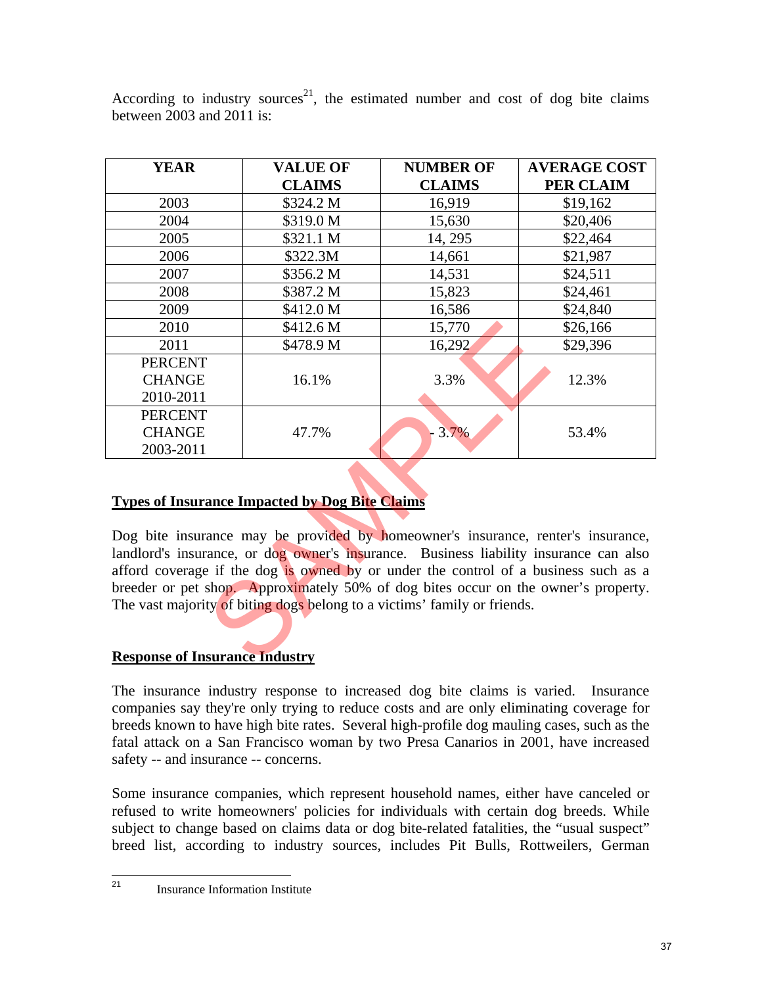| <b>YEAR</b>                           | <b>VALUE OF</b>                                                                                                                                                                                                                                                                                                                                                                                                                              | <b>NUMBER OF</b> | <b>AVERAGE COST</b> |
|---------------------------------------|----------------------------------------------------------------------------------------------------------------------------------------------------------------------------------------------------------------------------------------------------------------------------------------------------------------------------------------------------------------------------------------------------------------------------------------------|------------------|---------------------|
|                                       | <b>CLAIMS</b>                                                                                                                                                                                                                                                                                                                                                                                                                                | <b>CLAIMS</b>    | PER CLAIM           |
| 2003                                  | \$324.2 M                                                                                                                                                                                                                                                                                                                                                                                                                                    | 16,919           | \$19,162            |
| 2004                                  | \$319.0 M                                                                                                                                                                                                                                                                                                                                                                                                                                    | 15,630           | \$20,406            |
| 2005                                  | \$321.1 M                                                                                                                                                                                                                                                                                                                                                                                                                                    | 14, 295          | \$22,464            |
| 2006                                  | \$322.3M                                                                                                                                                                                                                                                                                                                                                                                                                                     | 14,661           | \$21,987            |
| 2007                                  | \$356.2 M                                                                                                                                                                                                                                                                                                                                                                                                                                    | 14,531           | \$24,511            |
| 2008                                  | \$387.2 M                                                                                                                                                                                                                                                                                                                                                                                                                                    | 15,823           | \$24,461            |
| 2009                                  | \$412.0 M                                                                                                                                                                                                                                                                                                                                                                                                                                    | 16,586           | \$24,840            |
| 2010                                  | \$412.6 M                                                                                                                                                                                                                                                                                                                                                                                                                                    | 15,770           | \$26,166            |
| 2011                                  | \$478.9 M                                                                                                                                                                                                                                                                                                                                                                                                                                    | 16,292           | \$29,396            |
| <b>PERCENT</b>                        |                                                                                                                                                                                                                                                                                                                                                                                                                                              |                  |                     |
| <b>CHANGE</b>                         | 16.1%                                                                                                                                                                                                                                                                                                                                                                                                                                        | 3.3%             | 12.3%               |
| 2010-2011                             |                                                                                                                                                                                                                                                                                                                                                                                                                                              |                  |                     |
| <b>PERCENT</b>                        |                                                                                                                                                                                                                                                                                                                                                                                                                                              |                  |                     |
| <b>CHANGE</b>                         | 47.7%                                                                                                                                                                                                                                                                                                                                                                                                                                        | 3.7%             | 53.4%               |
| 2003-2011                             |                                                                                                                                                                                                                                                                                                                                                                                                                                              |                  |                     |
|                                       | afford coverage if the dog is owned by or under the control of a business such as a<br>breeder or pet shop. Approximately 50% of dog bites occur on the owner's property.<br>The vast majority of biting dogs belong to a victims' family or friends.                                                                                                                                                                                        |                  |                     |
| <b>Response of Insurance Industry</b> |                                                                                                                                                                                                                                                                                                                                                                                                                                              |                  |                     |
| safety -- and insurance -- concerns.  | The insurance industry response to increased dog bite claims is varied.<br>companies say they're only trying to reduce costs and are only eliminating coverage for<br>breeds known to have high bite rates. Several high-profile dog mauling cases, such as the<br>fatal attack on a San Francisco woman by two Presa Canarios in 2001, have increased<br>Some insurance companies, which represent household names, either have canceled or |                  | Insurance           |
| 21<br>Insurance Information Institute | refused to write homeowners' policies for individuals with certain dog breeds. While<br>subject to change based on claims data or dog bite-related fatalities, the "usual suspect"<br>breed list, according to industry sources, includes Pit Bulls, Rottweilers, German                                                                                                                                                                     |                  |                     |
|                                       |                                                                                                                                                                                                                                                                                                                                                                                                                                              |                  |                     |
|                                       |                                                                                                                                                                                                                                                                                                                                                                                                                                              |                  |                     |

According to industry sources<sup>21</sup>, the estimated number and cost of dog bite claims between 2003 and 2011 is:

# **Types of Insurance Impacted by Dog Bite Claims**

#### **Response of Insurance Industry**

 $21$ 21 Insurance Information Institute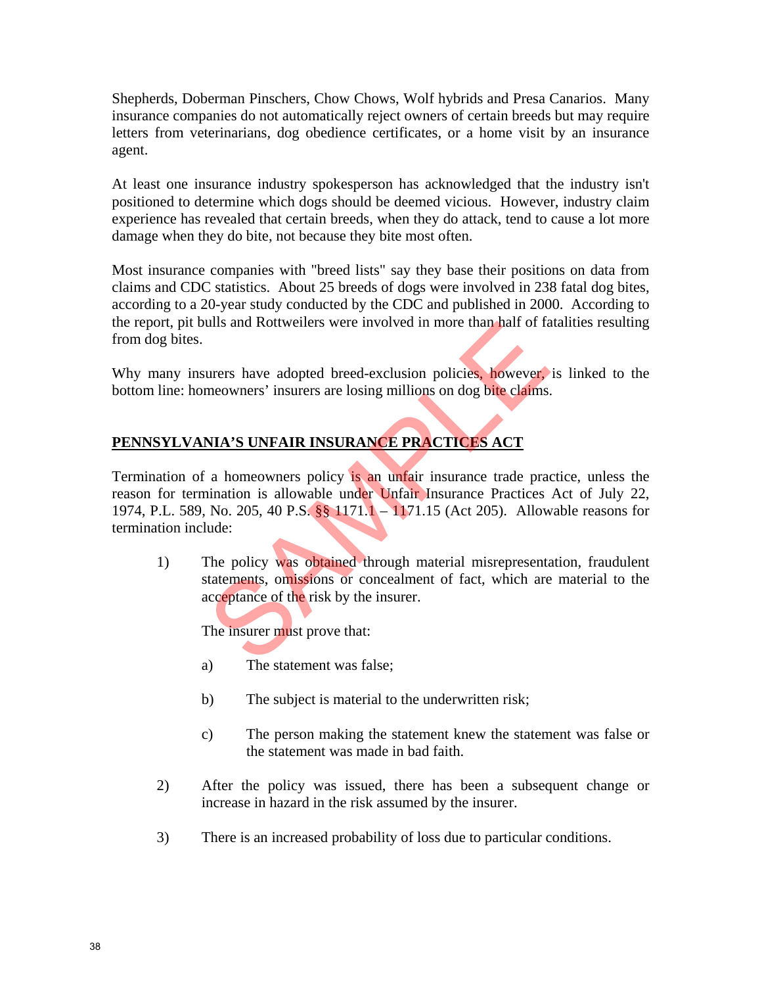Shepherds, Doberman Pinschers, Chow Chows, Wolf hybrids and Presa Canarios. Many insurance companies do not automatically reject owners of certain breeds but may require letters from veterinarians, dog obedience certificates, or a home visit by an insurance agent.

At least one insurance industry spokesperson has acknowledged that the industry isn't positioned to determine which dogs should be deemed vicious. However, industry claim experience has revealed that certain breeds, when they do attack, tend to cause a lot more damage when they do bite, not because they bite most often.

Most insurance companies with "breed lists" say they base their positions on data from claims and CDC statistics. About 25 breeds of dogs were involved in 238 fatal dog bites, according to a 20-year study conducted by the CDC and published in 2000. According to the report, pit bulls and Rottweilers were involved in more than half of fatalities resulting from dog bites.

Why many insurers have adopted breed-exclusion policies, however, is linked to the bottom line: homeowners' insurers are losing millions on dog bite claims.

# **PENNSYLVANIA'S UNFAIR INSURANCE PRACTICES ACT**

Termination of a homeowners policy is an unfair insurance trade practice, unless the reason for termination is allowable under Unfair Insurance Practices Act of July 22, 1974, P.L. 589, No. 205, 40 P.S. §§ 1171.1 – 1171.15 (Act 205). Allowable reasons for termination include: the report, publis and Koluweiters were involved in more than dial of the<br>
38 SMy many insucress have adopted breed-exclusion policies. Movever<br>
bottom line: homeowners' insurers are losing millions on dog bite claims.<br> **P** 

1) The policy was obtained through material misrepresentation, fraudulent statements, omissions or concealment of fact, which are material to the acceptance of the risk by the insurer.

The insurer must prove that:

- a) The statement was false;
- b) The subject is material to the underwritten risk;
- c) The person making the statement knew the statement was false or the statement was made in bad faith.
- 2) After the policy was issued, there has been a subsequent change or increase in hazard in the risk assumed by the insurer.
- 3) There is an increased probability of loss due to particular conditions.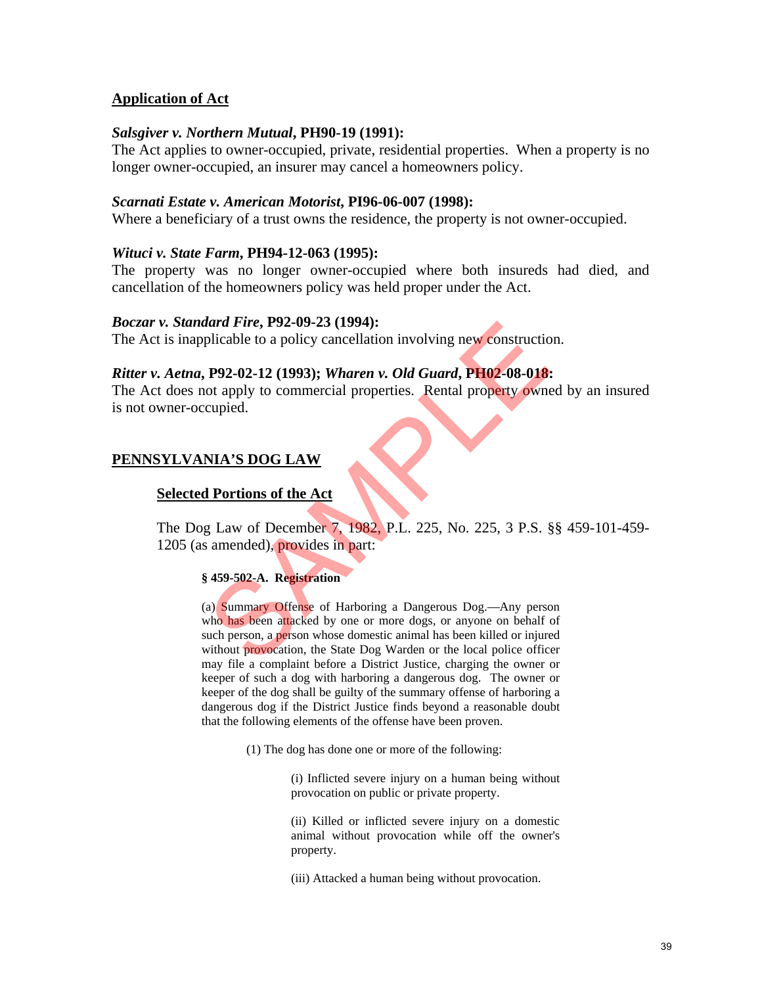#### **Application of Act**

#### *Salsgiver v. Northern Mutual***, PH90-19 (1991):**

The Act applies to owner-occupied, private, residential properties. When a property is no longer owner-occupied, an insurer may cancel a homeowners policy.

#### *Scarnati Estate v. American Motorist***, PI96-06-007 (1998):**

Where a beneficiary of a trust owns the residence, the property is not owner-occupied.

#### *Wituci v. State Farm***, PH94-12-063 (1995):**

The property was no longer owner-occupied where both insureds had died, and cancellation of the homeowners policy was held proper under the Act.

#### *Boczar v. Standard Fire***, P92-09-23 (1994):**

The Act is inapplicable to a policy cancellation involving new construction.

#### *Ritter v. Aetna***, P92-02-12 (1993);** *Wharen v. Old Guard***, PH02-08-018:**

The Act does not apply to commercial properties. Rental property owned by an insured is not owner-occupied.

#### **PENNSYLVANIA'S DOG LAW**

#### **Selected Portions of the Act**

The Dog Law of December 7, 1982, P.L. 225, No. 225, 3 P.S. §§ 459-101-459- 1205 (as amended), provides in part:

#### **§ 459-502-A. Registration**

(a) Summary Offense of Harboring a Dangerous Dog.—Any person who has been attacked by one or more dogs, or anyone on behalf of such person, a person whose domestic animal has been killed or injured without **provocation**, the State Dog Warden or the local police officer may file a complaint before a District Justice, charging the owner or keeper of such a dog with harboring a dangerous dog. The owner or keeper of the dog shall be guilty of the summary offense of harboring a dangerous dog if the District Justice finds beyond a reasonable doubt that the following elements of the offense have been proven. Lara Prince, P92-49-12-3 (1994):<br>
The charge price of production involving new construction.<br>
Policies to a policy cancellation involving new construction.<br>
Policies to a policy cancellation involving new construction.<br>
P

(1) The dog has done one or more of the following:

(i) Inflicted severe injury on a human being without provocation on public or private property.

(ii) Killed or inflicted severe injury on a domestic animal without provocation while off the owner's property.

(iii) Attacked a human being without provocation.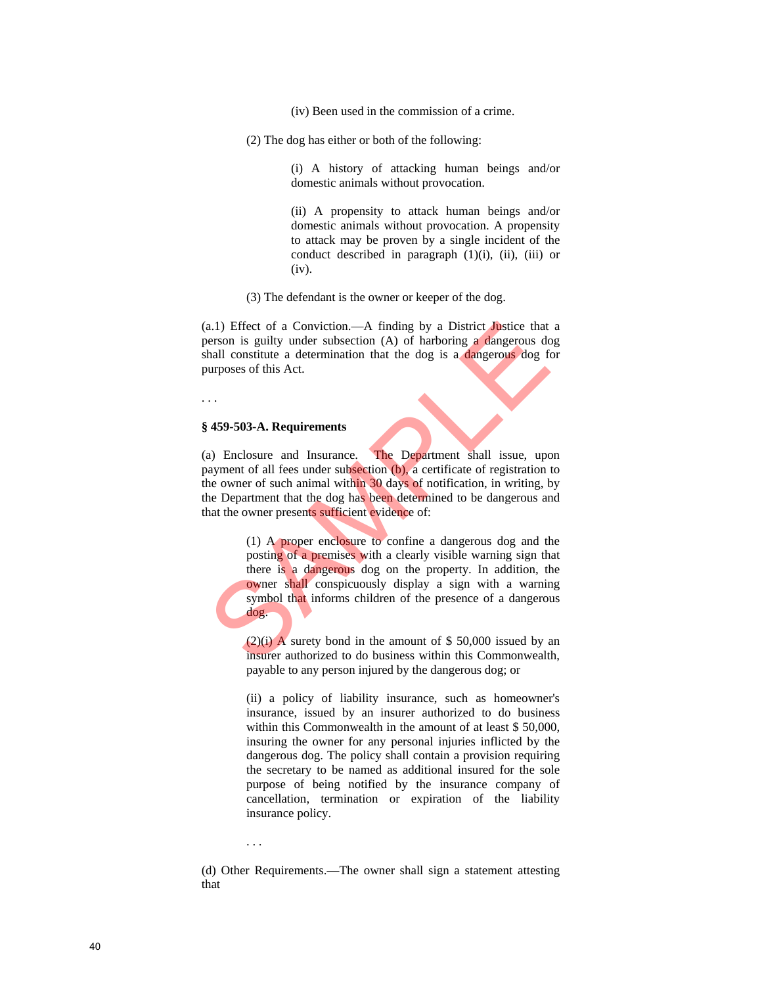(iv) Been used in the commission of a crime.

(2) The dog has either or both of the following:

(i) A history of attacking human beings and/or domestic animals without provocation.

(ii) A propensity to attack human beings and/or domestic animals without provocation. A propensity to attack may be proven by a single incident of the conduct described in paragraph  $(1)(i)$ ,  $(ii)$ ,  $(iii)$  or (iv).

(3) The defendant is the owner or keeper of the dog.

(a.1) Effect of a Conviction.—A finding by a District Justice that a person is guilty under subsection (A) of harboring a dangerous dog shall constitute a determination that the dog is a dangerous dog for purposes of this Act.

. . .

#### **§ 459-503-A. Requirements**

. . .

(a) Enclosure and Insurance. The Department shall issue, upon payment of all fees under subsection (b), a certificate of registration to the owner of such animal within 30 days of notification, in writing, by the Department that the dog has been determined to be dangerous and that the owner presents sufficient evidence of:

> (1) A proper enclosure to confine a dangerous dog and the posting of a premises with a clearly visible warning sign that there is a dangerous dog on the property. In addition, the owner shall conspicuously display a sign with a warning symbol that informs children of the presence of a dangerous dog.

> $(2)(i)$  A surety bond in the amount of \$ 50,000 issued by an insurer authorized to do business within this Commonwealth, payable to any person injured by the dangerous dog; or

(ii) a policy of liability insurance, such as homeowner's insurance, issued by an insurer authorized to do business within this Commonwealth in the amount of at least \$ 50,000, insuring the owner for any personal injuries inflicted by the dangerous dog. The policy shall contain a provision requiring the secretary to be named as additional insured for the sole purpose of being notified by the insurance company of cancellation, termination or expiration of the liability insurance policy. (a.1) Effect of a Convention.—A finding by a District Justice that a<br>person is guilty under subsection (A) of harboring a disappease dog frequencies disappear of this Act.<br>
Shall constitute a determination that the dog is

(d) Other Requirements.—The owner shall sign a statement attesting that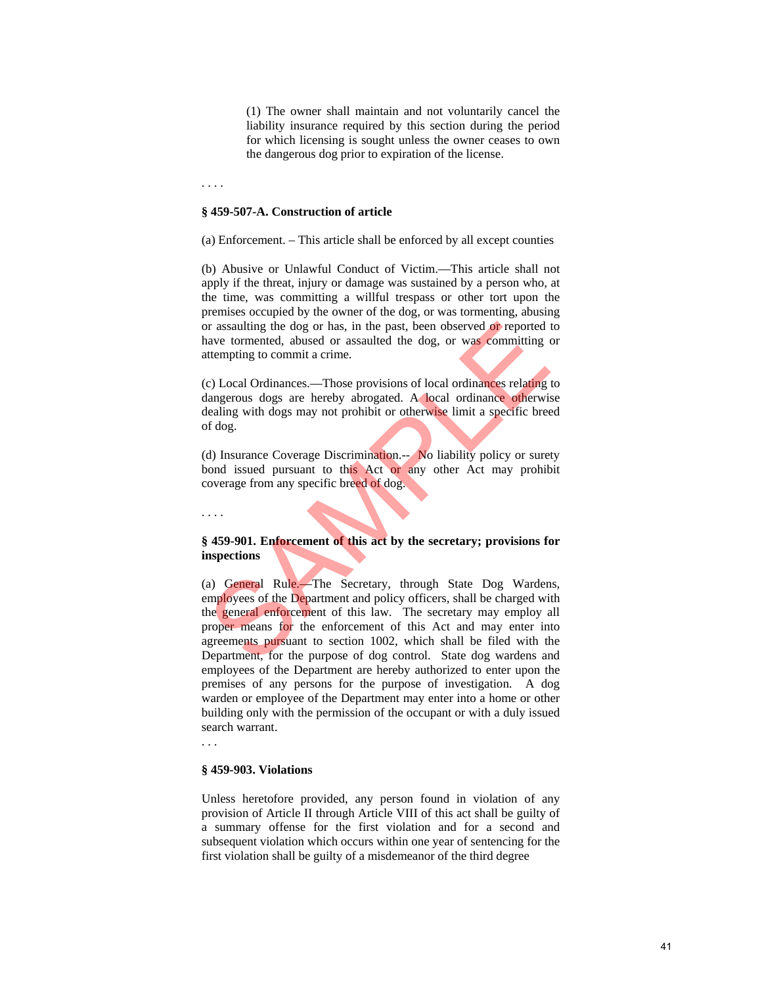(1) The owner shall maintain and not voluntarily cancel the liability insurance required by this section during the period for which licensing is sought unless the owner ceases to own the dangerous dog prior to expiration of the license.

. . . .

#### **§ 459-507-A. Construction of article**

(a) Enforcement. – This article shall be enforced by all except counties

(b) Abusive or Unlawful Conduct of Victim.—This article shall not apply if the threat, injury or damage was sustained by a person who, at the time, was committing a willful trespass or other tort upon the premises occupied by the owner of the dog, or was tormenting, abusing or assaulting the dog or has, in the past, been observed or reported to have tormented, abused or assaulted the dog, or was committing or attempting to commit a crime.

(c) Local Ordinances.—Those provisions of local ordinances relating to dangerous dogs are hereby abrogated. A local ordinance otherwise dealing with dogs may not prohibit or otherwise limit a specific breed of dog.

(d) Insurance Coverage Discrimination.-- No liability policy or surety bond issued pursuant to this Act or any other Act may prohibit coverage from any specific breed of dog.

. . . .

#### **§ 459-901. Enforcement of this act by the secretary; provisions for inspections**

(a) General Rule.—The Secretary, through State Dog Wardens, employees of the Department and policy officers, shall be charged with the general enforcement of this law. The secretary may employ all proper means for the enforcement of this Act and may enter into agreements pursuant to section 1002, which shall be filed with the Department, for the purpose of dog control. State dog wardens and employees of the Department are hereby authorized to enter upon the premises of any persons for the purpose of investigation. A dog warden or employee of the Department may enter into a home or other building only with the permission of the occupant or with a duly issued search warrant. arisaniling the dog or has, in the past, heren observed of reprenetation<br>any commuting or assumed the dogs. or was commuting or<br>therming to commutia crime.<br>
alternating scale of the dogs are hereby abroasies of cold ordin

. . .

#### **§ 459-903. Violations**

Unless heretofore provided, any person found in violation of any provision of Article II through Article VIII of this act shall be guilty of a summary offense for the first violation and for a second and subsequent violation which occurs within one year of sentencing for the first violation shall be guilty of a misdemeanor of the third degree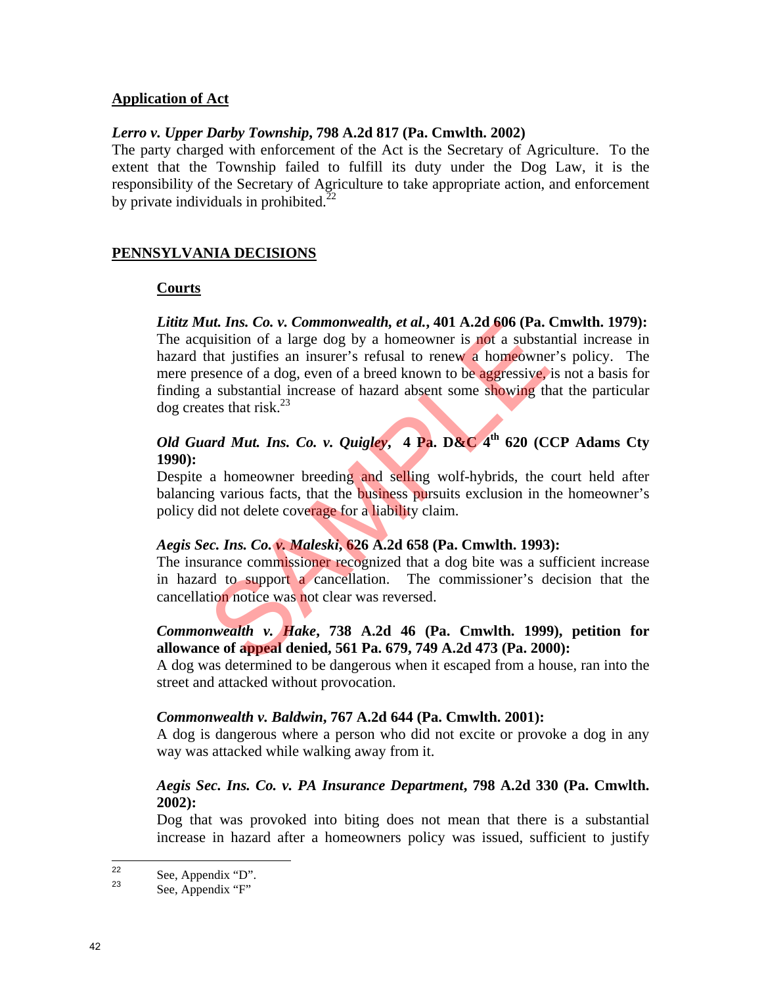#### **Application of Act**

#### *Lerro v. Upper Darby Township***, 798 A.2d 817 (Pa. Cmwlth. 2002)**

The party charged with enforcement of the Act is the Secretary of Agriculture. To the extent that the Township failed to fulfill its duty under the Dog Law, it is the responsibility of the Secretary of Agriculture to take appropriate action, and enforcement by private individuals in prohibited.<sup>22</sup>

#### **PENNSYLVANIA DECISIONS**

#### **Courts**

*Lititz Mut. Ins. Co. v. Commonwealth, et al.***, 401 A.2d 606 (Pa. Cmwlth. 1979):** The acquisition of a large dog by a homeowner is not a substantial increase in hazard that justifies an insurer's refusal to renew a homeowner's policy. The mere presence of a dog, even of a breed known to be aggressive, is not a basis for finding a substantial increase of hazard absent some showing that the particular  $\log$  creates that risk.<sup>23</sup> EMIZ MHL. Ins. Co. v. Commonweallin, et al., 401 A.2 component and thus the main standard and the main standard that the mean that instead the tensor of a best hard at mean the mean presence of a dog, even of a best had t

# *Old Guard Mut. Ins. Co. v. Quigley***, 4 Pa. D&C 4th 620 (CCP Adams Cty 1990):**

Despite a homeowner breeding and selling wolf-hybrids, the court held after balancing various facts, that the **business pursuits exclusion** in the homeowner's policy did not delete coverage for a liability claim.

#### *Aegis Sec. Ins. Co. v. Maleski***, 626 A.2d 658 (Pa. Cmwlth. 1993):**

The insurance commissioner recognized that a dog bite was a sufficient increase in hazard to support a cancellation. The commissioner's decision that the cancellation notice was not clear was reversed.

#### *Commonwealth v. Hake***, 738 A.2d 46 (Pa. Cmwlth. 1999), petition for allowance of appeal denied, 561 Pa. 679, 749 A.2d 473 (Pa. 2000):**

A dog was determined to be dangerous when it escaped from a house, ran into the street and attacked without provocation.

#### *Commonwealth v. Baldwin***, 767 A.2d 644 (Pa. Cmwlth. 2001):**

A dog is dangerous where a person who did not excite or provoke a dog in any way was attacked while walking away from it.

#### *Aegis Sec. Ins. Co. v. PA Insurance Department***, 798 A.2d 330 (Pa. Cmwlth. 2002):**

Dog that was provoked into biting does not mean that there is a substantial increase in hazard after a homeowners policy was issued, sufficient to justify

<sup>22</sup> <sup>22</sup> See, Appendix "D".<br>See, Appendix "F"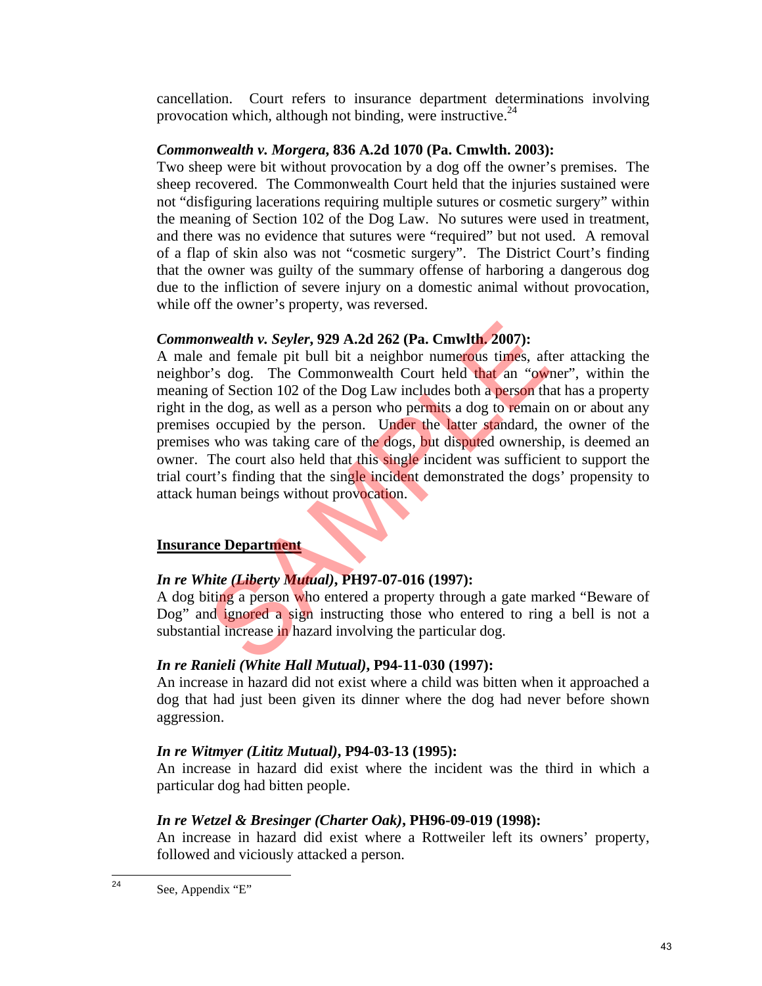cancellation. Court refers to insurance department determinations involving provocation which, although not binding, were instructive. $^{24}$ 

#### *Commonwealth v. Morgera***, 836 A.2d 1070 (Pa. Cmwlth. 2003):**

Two sheep were bit without provocation by a dog off the owner's premises. The sheep recovered. The Commonwealth Court held that the injuries sustained were not "disfiguring lacerations requiring multiple sutures or cosmetic surgery" within the meaning of Section 102 of the Dog Law. No sutures were used in treatment, and there was no evidence that sutures were "required" but not used. A removal of a flap of skin also was not "cosmetic surgery". The District Court's finding that the owner was guilty of the summary offense of harboring a dangerous dog due to the infliction of severe injury on a domestic animal without provocation, while off the owner's property, was reversed.

#### *Commonwealth v. Seyler***, 929 A.2d 262 (Pa. Cmwlth. 2007):**

A male and female pit bull bit a neighbor numerous times, after attacking the neighbor's dog. The Commonwealth Court held that an "owner", within the meaning of Section 102 of the Dog Law includes both a person that has a property right in the dog, as well as a person who permits a dog to remain on or about any premises occupied by the person. Under the latter standard, the owner of the premises who was taking care of the dogs, but disputed ownership, is deemed an owner. The court also held that this single incident was sufficient to support the trial court's finding that the single incident demonstrated the dogs' propensity to attack human beings without provocation. mwealth v. Seyfer, 929 A.2d 262 (Pa. Cmwitth, 2007):<br>
and female pit bull bit a neighbor numerous times, after attacking the<br>
and female pit bull bit a neighbor numerous times, after attacking the<br>
r's dog. The Commonweal

#### **Insurance Department**

# *In re White (Liberty Mutual)***, PH97-07-016 (1997):**

A dog biting a person who entered a property through a gate marked "Beware of Dog" and ignored a sign instructing those who entered to ring a bell is not a substantial increase in hazard involving the particular dog.

#### *In re Ranieli (White Hall Mutual)***, P94-11-030 (1997):**

An increase in hazard did not exist where a child was bitten when it approached a dog that had just been given its dinner where the dog had never before shown aggression.

#### *In re Witmyer (Lititz Mutual)***, P94-03-13 (1995):**

An increase in hazard did exist where the incident was the third in which a particular dog had bitten people.

#### *In re Wetzel & Bresinger (Charter Oak)***, PH96-09-019 (1998):**

An increase in hazard did exist where a Rottweiler left its owners' property, followed and viciously attacked a person.

 $24$ See, Appendix "E"